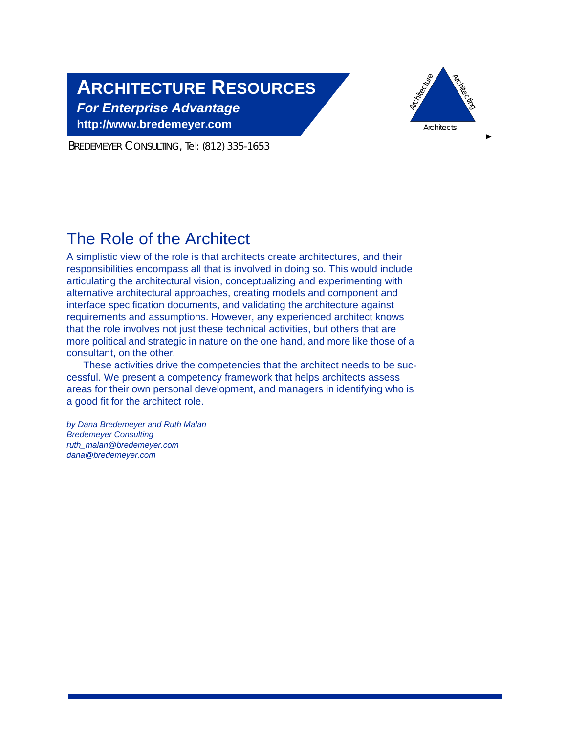# **ARCHITECTURE RESOURCES**

*For Enterprise Advantage* **http://www.bredemeyer.com**



BREDEMEYER CONSULTING, Tel: (812) 335-1653

## The Role of the Architect

A simplistic view of the role is that architects create architectures, and their responsibilities encompass all that is involved in doing so. This would include articulating the architectural vision, conceptualizing and experimenting with alternative architectural approaches, creating models and component and interface specification documents, and validating the architecture against requirements and assumptions. However, any experienced architect knows that the role involves not just these technical activities, but others that are more political and strategic in nature on the one hand, and more like those of a consultant, on the other.

These activities drive the competencies that the architect needs to be successful. We present a competency framework that helps architects assess areas for their own personal development, and managers in identifying who is a good fit for the architect role.

*by Dana Bredemeyer and Ruth Malan Bredemeyer Consulting ruth\_malan@bredemeyer.com dana@bredemeyer.com*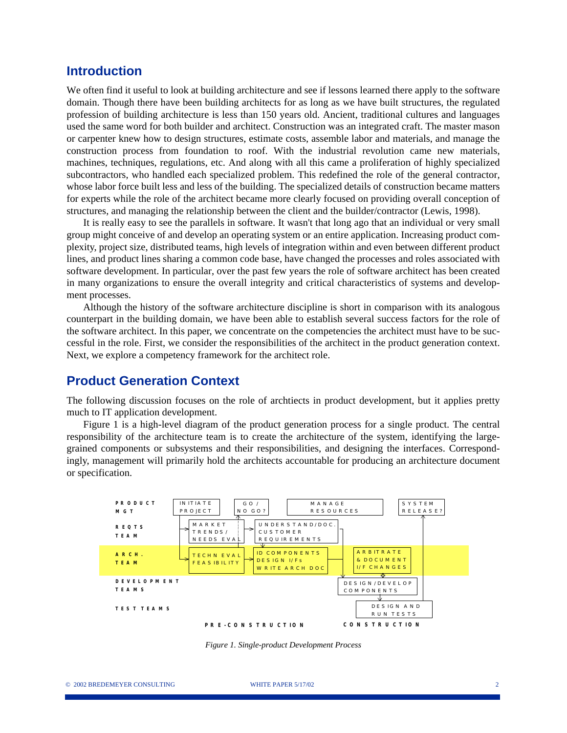## **Introduction**

We often find it useful to look at building architecture and see if lessons learned there apply to the software domain. Though there have been building architects for as long as we have built structures, the regulated profession of building architecture is less than 150 years old. Ancient, traditional cultures and languages used the same word for both builder and architect. Construction was an integrated craft. The master mason or carpenter knew how to design structures, estimate costs, assemble labor and materials, and manage the construction process from foundation to roof. With the industrial revolution came new materials, machines, techniques, regulations, etc. And along with all this came a proliferation of highly specialized subcontractors, who handled each specialized problem. This redefined the role of the general contractor, whose labor force built less and less of the building. The specialized details of construction became matters for experts while the role of the architect became more clearly focused on providing overall conception of structures, and managing the relationship between the client and the builder/contractor (Lewis, 1998).

It is really easy to see the parallels in software. It wasn't that long ago that an individual or very small group might conceive of and develop an operating system or an entire application. Increasing product complexity, project size, distributed teams, high levels of integration within and even between different product lines, and product lines sharing a common code base, have changed the processes and roles associated with software development. In particular, over the past few years the role of software architect has been created in many organizations to ensure the overall integrity and critical characteristics of systems and development processes.

Although the history of the software architecture discipline is short in comparison with its analogous counterpart in the building domain, we have been able to establish several success factors for the role of the software architect. In this paper, we concentrate on the competencies the architect must have to be successful in the role. First, we consider the responsibilities of the architect in the product generation context. Next, we explore a competency framework for the architect role.

## **Product Generation Context**

The following discussion focuses on the role of archtiects in product development, but it applies pretty much to IT application development.

Figure 1 is a high-level diagram of the product generation process for a single product. The central responsibility of the architecture team is to create the architecture of the system, identifying the largegrained components or subsystems and their responsibilities, and designing the interfaces. Correspondingly, management will primarily hold the architects accountable for producing an architecture document or specification.



*Figure 1. Single-product Development Process*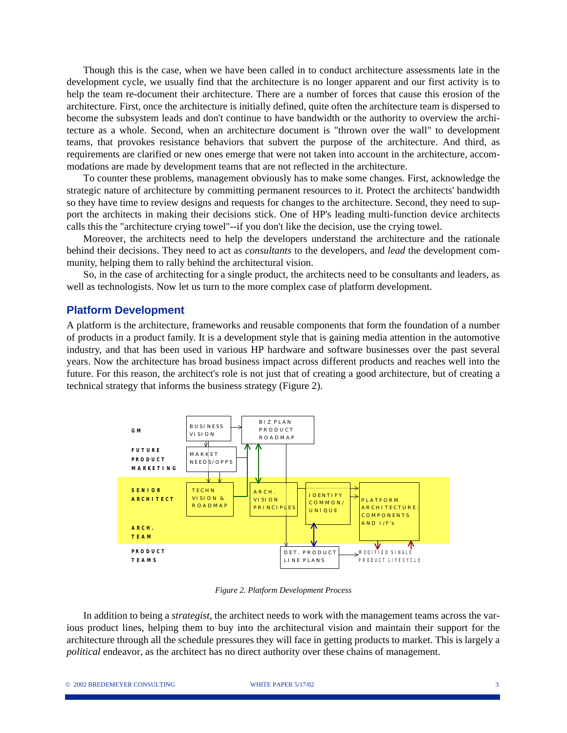Though this is the case, when we have been called in to conduct architecture assessments late in the development cycle, we usually find that the architecture is no longer apparent and our first activity is to help the team re-document their architecture. There are a number of forces that cause this erosion of the architecture. First, once the architecture is initially defined, quite often the architecture team is dispersed to become the subsystem leads and don't continue to have bandwidth or the authority to overview the architecture as a whole. Second, when an architecture document is "thrown over the wall" to development teams, that provokes resistance behaviors that subvert the purpose of the architecture. And third, as requirements are clarified or new ones emerge that were not taken into account in the architecture, accommodations are made by development teams that are not reflected in the architecture.

To counter these problems, management obviously has to make some changes. First, acknowledge the strategic nature of architecture by committing permanent resources to it. Protect the architects' bandwidth so they have time to review designs and requests for changes to the architecture. Second, they need to support the architects in making their decisions stick. One of HP's leading multi-function device architects calls this the "architecture crying towel"--if you don't like the decision, use the crying towel.

Moreover, the architects need to help the developers understand the architecture and the rationale behind their decisions. They need to act as *consultants* to the developers, and *lead* the development community, helping them to rally behind the architectural vision.

So, in the case of architecting for a single product, the architects need to be consultants and leaders, as well as technologists. Now let us turn to the more complex case of platform development.

#### **Platform Development**

A platform is the architecture, frameworks and reusable components that form the foundation of a number of products in a product family. It is a development style that is gaining media attention in the automotive industry, and that has been used in various HP hardware and software businesses over the past several years. Now the architecture has broad business impact across different products and reaches well into the future. For this reason, the architect's role is not just that of creating a good architecture, but of creating a technical strategy that informs the business strategy (Figure 2).



*Figure 2. Platform Development Process*

In addition to being a *strategist*, the architect needs to work with the management teams across the various product lines, helping them to buy into the architectural vision and maintain their support for the architecture through all the schedule pressures they will face in getting products to market. This is largely a *political* endeavor, as the architect has no direct authority over these chains of management.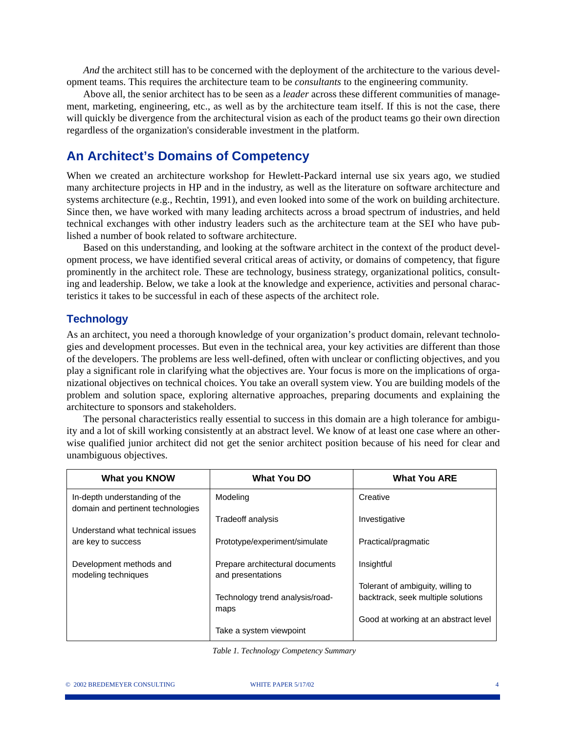*And* the architect still has to be concerned with the deployment of the architecture to the various development teams. This requires the architecture team to be *consultants* to the engineering community.

Above all, the senior architect has to be seen as a *leader* across these different communities of management, marketing, engineering, etc., as well as by the architecture team itself. If this is not the case, there will quickly be divergence from the architectural vision as each of the product teams go their own direction regardless of the organization's considerable investment in the platform.

## **An Architect's Domains of Competency**

When we created an architecture workshop for Hewlett-Packard internal use six years ago, we studied many architecture projects in HP and in the industry, as well as the literature on software architecture and systems architecture (e.g., Rechtin, 1991), and even looked into some of the work on building architecture. Since then, we have worked with many leading architects across a broad spectrum of industries, and held technical exchanges with other industry leaders such as the architecture team at the SEI who have published a number of book related to software architecture.

Based on this understanding, and looking at the software architect in the context of the product development process, we have identified several critical areas of activity, or domains of competency, that figure prominently in the architect role. These are technology, business strategy, organizational politics, consulting and leadership. Below, we take a look at the knowledge and experience, activities and personal characteristics it takes to be successful in each of these aspects of the architect role.

#### **Technology**

As an architect, you need a thorough knowledge of your organization's product domain, relevant technologies and development processes. But even in the technical area, your key activities are different than those of the developers. The problems are less well-defined, often with unclear or conflicting objectives, and you play a significant role in clarifying what the objectives are. Your focus is more on the implications of organizational objectives on technical choices. You take an overall system view. You are building models of the problem and solution space, exploring alternative approaches, preparing documents and explaining the architecture to sponsors and stakeholders.

The personal characteristics really essential to success in this domain are a high tolerance for ambiguity and a lot of skill working consistently at an abstract level. We know of at least one case where an otherwise qualified junior architect did not get the senior architect position because of his need for clear and unambiguous objectives.

| <b>What you KNOW</b>                                               | <b>What You DO</b>                                   | <b>What You ARE</b>                  |  |
|--------------------------------------------------------------------|------------------------------------------------------|--------------------------------------|--|
| In-depth understanding of the<br>domain and pertinent technologies | Modeling                                             | Creative                             |  |
| Understand what technical issues                                   | Tradeoff analysis                                    | Investigative                        |  |
| are key to success                                                 | Prototype/experiment/simulate                        | Practical/pragmatic                  |  |
| Development methods and<br>modeling techniques                     | Prepare architectural documents<br>and presentations | Insightful                           |  |
|                                                                    |                                                      | Tolerant of ambiguity, willing to    |  |
|                                                                    | Technology trend analysis/road-<br>maps              | backtrack, seek multiple solutions   |  |
|                                                                    |                                                      | Good at working at an abstract level |  |
|                                                                    | Take a system viewpoint                              |                                      |  |

 *Table 1. Technology Competency Summary*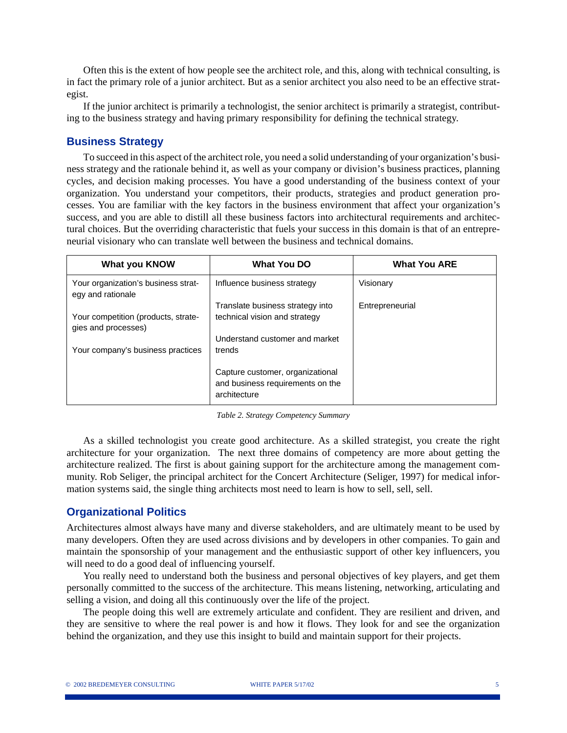Often this is the extent of how people see the architect role, and this, along with technical consulting, is in fact the primary role of a junior architect. But as a senior architect you also need to be an effective strategist.

If the junior architect is primarily a technologist, the senior architect is primarily a strategist, contributing to the business strategy and having primary responsibility for defining the technical strategy.

#### **Business Strategy**

To succeed in this aspect of the architect role, you need a solid understanding of your organization's business strategy and the rationale behind it, as well as your company or division's business practices, planning cycles, and decision making processes. You have a good understanding of the business context of your organization. You understand your competitors, their products, strategies and product generation processes. You are familiar with the key factors in the business environment that affect your organization's success, and you are able to distill all these business factors into architectural requirements and architectural choices. But the overriding characteristic that fuels your success in this domain is that of an entrepreneurial visionary who can translate well between the business and technical domains.

| <b>What you KNOW</b>                                       | <b>What You DO</b>                                                                   | <b>What You ARE</b> |
|------------------------------------------------------------|--------------------------------------------------------------------------------------|---------------------|
| Your organization's business strat-<br>egy and rationale   | Influence business strategy                                                          | Visionary           |
|                                                            | Translate business strategy into                                                     | Entrepreneurial     |
| Your competition (products, strate-<br>gies and processes) | technical vision and strategy                                                        |                     |
|                                                            | Understand customer and market                                                       |                     |
| Your company's business practices                          | trends                                                                               |                     |
|                                                            | Capture customer, organizational<br>and business requirements on the<br>architecture |                     |

*Table 2. Strategy Competency Summary*

As a skilled technologist you create good architecture. As a skilled strategist, you create the right architecture for your organization. The next three domains of competency are more about getting the architecture realized. The first is about gaining support for the architecture among the management community. Rob Seliger, the principal architect for the Concert Architecture (Seliger, 1997) for medical information systems said, the single thing architects most need to learn is how to sell, sell, sell.

#### **Organizational Politics**

Architectures almost always have many and diverse stakeholders, and are ultimately meant to be used by many developers. Often they are used across divisions and by developers in other companies. To gain and maintain the sponsorship of your management and the enthusiastic support of other key influencers, you will need to do a good deal of influencing yourself.

You really need to understand both the business and personal objectives of key players, and get them personally committed to the success of the architecture. This means listening, networking, articulating and selling a vision, and doing all this continuously over the life of the project.

The people doing this well are extremely articulate and confident. They are resilient and driven, and they are sensitive to where the real power is and how it flows. They look for and see the organization behind the organization, and they use this insight to build and maintain support for their projects.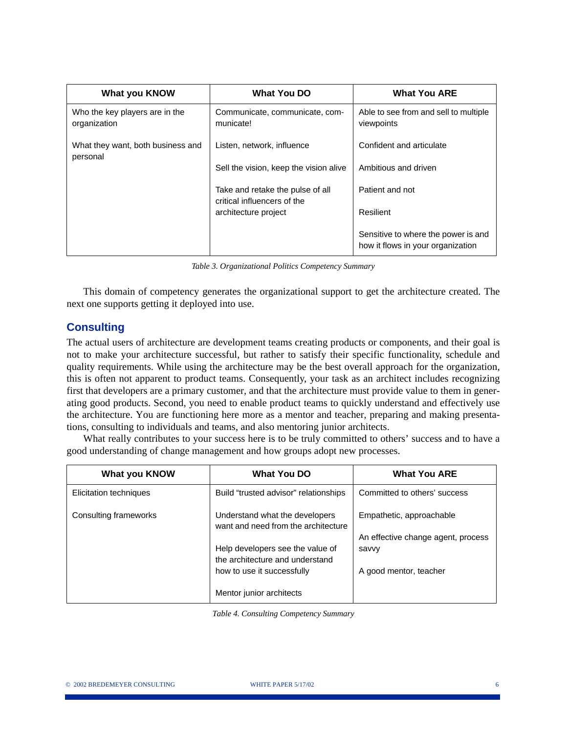| <b>What you KNOW</b>                           | <b>What You DO</b>                                              | <b>What You ARE</b>                                                      |  |
|------------------------------------------------|-----------------------------------------------------------------|--------------------------------------------------------------------------|--|
| Who the key players are in the<br>organization | Communicate, communicate, com-<br>municate!                     | Able to see from and sell to multiple<br>viewpoints                      |  |
| What they want, both business and<br>personal  | Listen, network, influence                                      | Confident and articulate                                                 |  |
|                                                | Sell the vision, keep the vision alive                          | Ambitious and driven                                                     |  |
|                                                | Take and retake the pulse of all<br>critical influencers of the | Patient and not                                                          |  |
|                                                | architecture project                                            | Resilient                                                                |  |
|                                                |                                                                 | Sensitive to where the power is and<br>how it flows in your organization |  |

*Table 3. Organizational Politics Competency Summary*

This domain of competency generates the organizational support to get the architecture created. The next one supports getting it deployed into use.

## **Consulting**

The actual users of architecture are development teams creating products or components, and their goal is not to make your architecture successful, but rather to satisfy their specific functionality, schedule and quality requirements. While using the architecture may be the best overall approach for the organization, this is often not apparent to product teams. Consequently, your task as an architect includes recognizing first that developers are a primary customer, and that the architecture must provide value to them in generating good products. Second, you need to enable product teams to quickly understand and effectively use the architecture. You are functioning here more as a mentor and teacher, preparing and making presentations, consulting to individuals and teams, and also mentoring junior architects.

What really contributes to your success here is to be truly committed to others' success and to have a good understanding of change management and how groups adopt new processes.

| <b>What you KNOW</b>   | What You DO                                                                                                                                                                | <b>What You ARE</b>                                                                               |
|------------------------|----------------------------------------------------------------------------------------------------------------------------------------------------------------------------|---------------------------------------------------------------------------------------------------|
| Elicitation techniques | Build "trusted advisor" relationships                                                                                                                                      | Committed to others' success                                                                      |
| Consulting frameworks  | Understand what the developers<br>want and need from the architecture<br>Help developers see the value of<br>the architecture and understand<br>how to use it successfully | Empathetic, approachable<br>An effective change agent, process<br>savvy<br>A good mentor, teacher |
|                        | Mentor junior architects                                                                                                                                                   |                                                                                                   |

*Table 4. Consulting Competency Summary*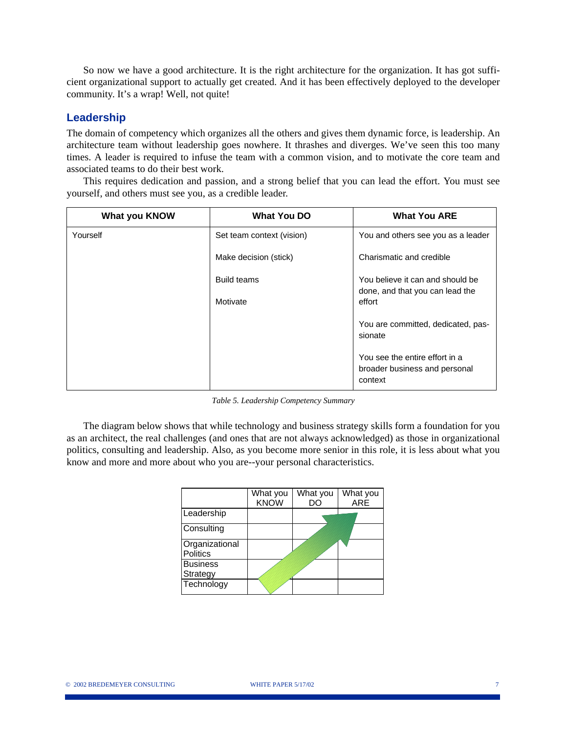So now we have a good architecture. It is the right architecture for the organization. It has got sufficient organizational support to actually get created. And it has been effectively deployed to the developer community. It's a wrap! Well, not quite!

#### **Leadership**

The domain of competency which organizes all the others and gives them dynamic force, is leadership. An architecture team without leadership goes nowhere. It thrashes and diverges. We've seen this too many times. A leader is required to infuse the team with a common vision, and to motivate the core team and associated teams to do their best work.

This requires dedication and passion, and a strong belief that you can lead the effort. You must see yourself, and others must see you, as a credible leader.

| <b>What you KNOW</b> | What You DO               | <b>What You ARE</b>                                                        |  |
|----------------------|---------------------------|----------------------------------------------------------------------------|--|
| Yourself             | Set team context (vision) | You and others see you as a leader                                         |  |
|                      | Make decision (stick)     | Charismatic and credible                                                   |  |
|                      | Build teams               | You believe it can and should be<br>done, and that you can lead the        |  |
|                      | Motivate                  | effort                                                                     |  |
|                      |                           | You are committed, dedicated, pas-<br>sionate                              |  |
|                      |                           | You see the entire effort in a<br>broader business and personal<br>context |  |

*Table 5. Leadership Competency Summary*

The diagram below shows that while technology and business strategy skills form a foundation for you as an architect, the real challenges (and ones that are not always acknowledged) as those in organizational politics, consulting and leadership. Also, as you become more senior in this role, it is less about what you know and more and more about who you are--your personal characteristics.

|                                   | What you<br><b>KNOW</b> | What you<br>DC | What you<br><b>ARE</b> |
|-----------------------------------|-------------------------|----------------|------------------------|
| Leadership                        |                         |                |                        |
| Consulting                        |                         |                |                        |
| Organizational<br><b>Politics</b> |                         |                |                        |
| <b>Business</b>                   |                         |                |                        |
| Strategy                          |                         |                |                        |
| Technology                        |                         |                |                        |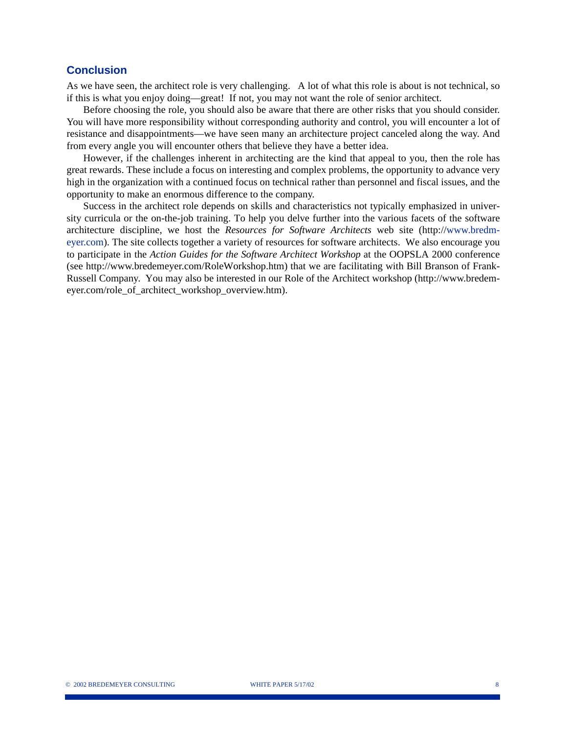#### **Conclusion**

As we have seen, the architect role is very challenging. A lot of what this role is about is not technical, so if this is what you enjoy doing—great! If not, you may not want the role of senior architect.

Before choosing the role, you should also be aware that there are other risks that you should consider. You will have more responsibility without corresponding authority and control, you will encounter a lot of resistance and disappointments—we have seen many an architecture project canceled along the way. And from every angle you will encounter others that believe they have a better idea.

However, if the challenges inherent in architecting are the kind that appeal to you, then the role has great rewards. These include a focus on interesting and complex problems, the opportunity to advance very high in the organization with a continued focus on technical rather than personnel and fiscal issues, and the opportunity to make an enormous difference to the company.

Success in the architect role depends on skills and characteristics not typically emphasized in university curricula or the on-the-job training. To help you delve further into the various facets of the software architecture discipline, we host the *Resources for Software Architects* web site (http://www.bredmeyer.com). The site collects together a variety of resources for software architects. We also encourage you to participate in the *Action Guides for the Software Architect Workshop* at the OOPSLA 2000 conference (see http://www.bredemeyer.com/RoleWorkshop.htm) that we are facilitating with Bill Branson of Frank-Russell Company. You may also be interested in our Role of the Architect workshop (http://www.bredemeyer.com/role\_of\_architect\_workshop\_overview.htm).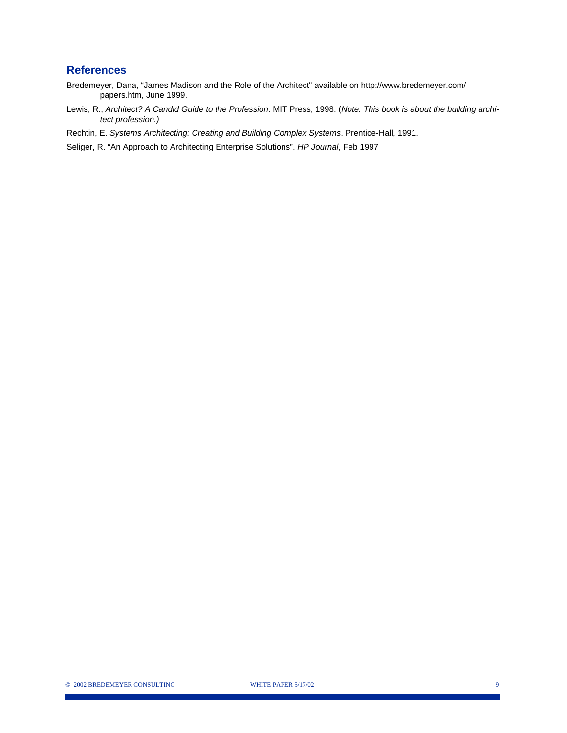#### **References**

- Bredemeyer, Dana, "James Madison and the Role of the Architect" available on http://www.bredemeyer.com/ papers.htm, June 1999.
- Lewis, R., *Architect? A Candid Guide to the Profession*. MIT Press, 1998. (*Note: This book is about the building architect profession.)*
- Rechtin, E. *Systems Architecting: Creating and Building Complex Systems*. Prentice-Hall, 1991.

Seliger, R. "An Approach to Architecting Enterprise Solutions". *HP Journal*, Feb 1997